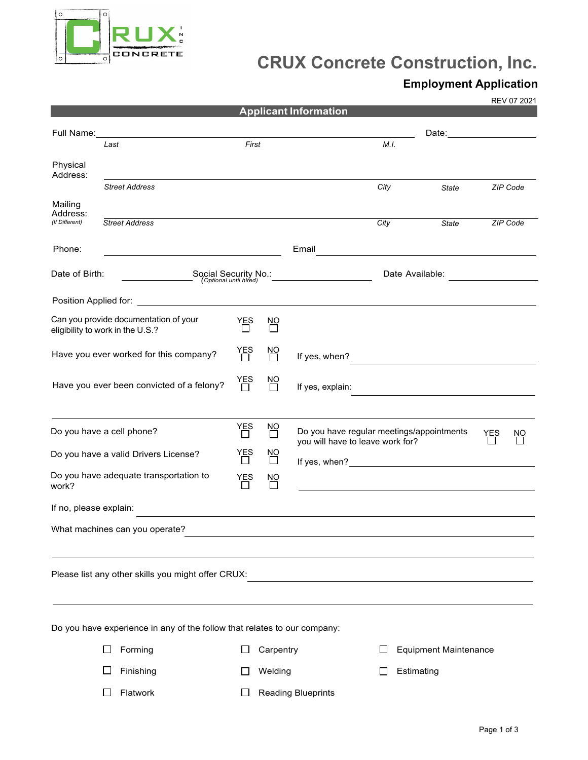

## **CRUX Concrete Construction, Inc.**

## **Employment Application**

REV 07 2021

|                                                 |                                                                           |                                                |                         | <b>Applicant Information</b>     |                 |                                                                                                                                                                                                                                |     |          |
|-------------------------------------------------|---------------------------------------------------------------------------|------------------------------------------------|-------------------------|----------------------------------|-----------------|--------------------------------------------------------------------------------------------------------------------------------------------------------------------------------------------------------------------------------|-----|----------|
| Full Name:                                      |                                                                           |                                                |                         |                                  |                 | Date: the contract of the contract of the contract of the contract of the contract of the contract of the contract of the contract of the contract of the contract of the contract of the contract of the contract of the cont |     |          |
|                                                 | Last                                                                      | First                                          |                         |                                  | M.I.            |                                                                                                                                                                                                                                |     |          |
| Physical<br>Address:                            |                                                                           |                                                |                         |                                  |                 |                                                                                                                                                                                                                                |     |          |
|                                                 | <b>Street Address</b>                                                     |                                                |                         |                                  | City            | <b>State</b>                                                                                                                                                                                                                   |     | ZIP Code |
| Mailing<br>Address:<br>(If Different)           | <b>Street Address</b>                                                     |                                                |                         |                                  | City            | State                                                                                                                                                                                                                          |     | ZIP Code |
|                                                 |                                                                           |                                                |                         |                                  |                 |                                                                                                                                                                                                                                |     |          |
| Phone:                                          |                                                                           |                                                |                         | Email                            |                 |                                                                                                                                                                                                                                |     |          |
| Date of Birth:                                  |                                                                           | Social Security No.:<br>(Optional until hired) |                         |                                  | Date Available: |                                                                                                                                                                                                                                |     |          |
|                                                 |                                                                           |                                                |                         |                                  |                 |                                                                                                                                                                                                                                |     |          |
|                                                 | Can you provide documentation of your<br>eligibility to work in the U.S.? | YES                                            | NO                      |                                  |                 |                                                                                                                                                                                                                                |     |          |
|                                                 | Have you ever worked for this company?                                    | YES<br>                                        | 원                       | If yes, when?                    |                 | <u> 1970 - Jan Barbara Barat, prima politik (</u>                                                                                                                                                                              |     |          |
|                                                 | Have you ever been convicted of a felony?                                 | YES<br>                                        | $\frac{NO}{1}$          | If yes, explain:                 |                 |                                                                                                                                                                                                                                |     |          |
|                                                 | Do you have a cell phone?                                                 | YES<br>$\Box$                                  | $\overline{\Box}$       | you will have to leave work for? |                 | Do you have regular meetings/appointments                                                                                                                                                                                      | YES | NO       |
| Do you have a valid Drivers License?            |                                                                           | YES                                            | <sub>NO</sub><br>$\Box$ |                                  |                 |                                                                                                                                                                                                                                |     |          |
| Do you have adequate transportation to<br>work? |                                                                           | YES<br>□                                       | <u>NO</u><br>$\Box$     |                                  |                 |                                                                                                                                                                                                                                |     |          |
| If no, please explain:                          |                                                                           |                                                |                         |                                  |                 |                                                                                                                                                                                                                                |     |          |
|                                                 | What machines can you operate?                                            |                                                |                         |                                  |                 |                                                                                                                                                                                                                                |     |          |
|                                                 | Please list any other skills you might offer CRUX:                        |                                                |                         |                                  |                 |                                                                                                                                                                                                                                |     |          |
|                                                 | Do you have experience in any of the follow that relates to our company:  |                                                |                         |                                  |                 |                                                                                                                                                                                                                                |     |          |
|                                                 | Forming                                                                   |                                                | Carpentry               |                                  |                 | <b>Equipment Maintenance</b>                                                                                                                                                                                                   |     |          |
|                                                 | Finishing                                                                 |                                                | Welding                 |                                  |                 | Estimating                                                                                                                                                                                                                     |     |          |
|                                                 | Flatwork                                                                  |                                                |                         | <b>Reading Blueprints</b>        |                 |                                                                                                                                                                                                                                |     |          |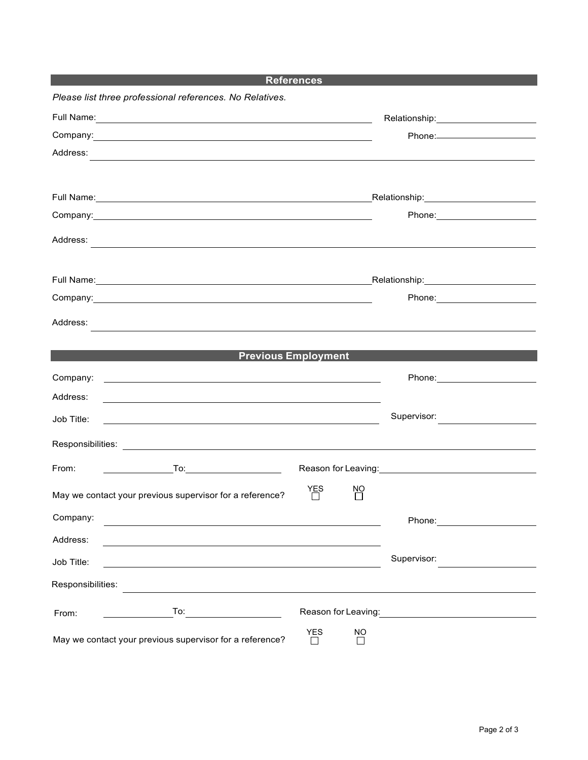|                                                                                                                                                                                                                                      | <b>References</b> |           |                                                                                                                 |
|--------------------------------------------------------------------------------------------------------------------------------------------------------------------------------------------------------------------------------------|-------------------|-----------|-----------------------------------------------------------------------------------------------------------------|
| Please list three professional references. No Relatives.                                                                                                                                                                             |                   |           |                                                                                                                 |
| Full Name: <u>Contract Communication</u> Contract Communication Communication Communication Communication Communication                                                                                                              |                   |           |                                                                                                                 |
| Company:<br><u> 1989 - Johann Stoff, deutscher Stoffen und der Stoffen und der Stoffen und der Stoffen und der Stoffen und der</u>                                                                                                   |                   |           |                                                                                                                 |
| Address:                                                                                                                                                                                                                             |                   |           |                                                                                                                 |
|                                                                                                                                                                                                                                      |                   |           |                                                                                                                 |
|                                                                                                                                                                                                                                      |                   |           |                                                                                                                 |
| Company: <u>company: and a series of the series of the series of the series of the series of the series of the series of the series of the series of the series of the series of the series of the series of the series of the s</u> |                   |           |                                                                                                                 |
| Address:                                                                                                                                                                                                                             |                   |           |                                                                                                                 |
|                                                                                                                                                                                                                                      |                   |           |                                                                                                                 |
|                                                                                                                                                                                                                                      |                   |           |                                                                                                                 |
| Company: <u>company:</u> company:                                                                                                                                                                                                    |                   |           | Phone: 2008 2010 2010 2010 2010 2021 2022 2023 2024 2022 2023 2024 2022 2023 2024 2025 2026 2027 2028 2021 20   |
| Address:                                                                                                                                                                                                                             |                   |           |                                                                                                                 |
| <u> 1980 - Andrea Barbara, Amerikaansk politiker (d. 1980)</u>                                                                                                                                                                       |                   |           |                                                                                                                 |
| <b>Previous Employment</b>                                                                                                                                                                                                           |                   |           |                                                                                                                 |
| Company:<br><u> 1999 - Jan Barbara de Santo de Santo de Santo de Santo de Santo de Santo de Santo de Santo de Santo de Santo</u>                                                                                                     |                   |           | Phone: ________________________                                                                                 |
| Address:                                                                                                                                                                                                                             |                   |           |                                                                                                                 |
| Job Title:                                                                                                                                                                                                                           |                   |           | Supervisor:                                                                                                     |
| Responsibilities: Les and the set of the set of the set of the set of the set of the set of the set of the set of the set of the set of the set of the set of the set of the set of the set of the set of the set of the set o       |                   |           |                                                                                                                 |
|                                                                                                                                                                                                                                      |                   |           |                                                                                                                 |
| From:                                                                                                                                                                                                                                |                   |           | Reason for Leaving: 1990 and 1990 and 1990 and 1990 and 1990 and 1990 and 1990 and 1990 and 1990 and 1990 and 1 |
| May we contact your previous supervisor for a reference?                                                                                                                                                                             | YES               | <u>NQ</u> |                                                                                                                 |
| Company:                                                                                                                                                                                                                             |                   |           | Phone: National Assembly Phone: National Assembly Phone: National Assembly Phone Assembly                       |
| Address:                                                                                                                                                                                                                             |                   |           |                                                                                                                 |
| Job Title:                                                                                                                                                                                                                           |                   |           | Supervisor:                                                                                                     |
| Responsibilities:                                                                                                                                                                                                                    |                   |           |                                                                                                                 |
|                                                                                                                                                                                                                                      |                   |           |                                                                                                                 |
| To:<br>From:                                                                                                                                                                                                                         |                   |           | Reason for Leaving: The state of the state of the state of the state of the state of the state of the state of  |
| May we contact your previous supervisor for a reference?                                                                                                                                                                             | <b>YES</b>        | <b>NO</b> |                                                                                                                 |